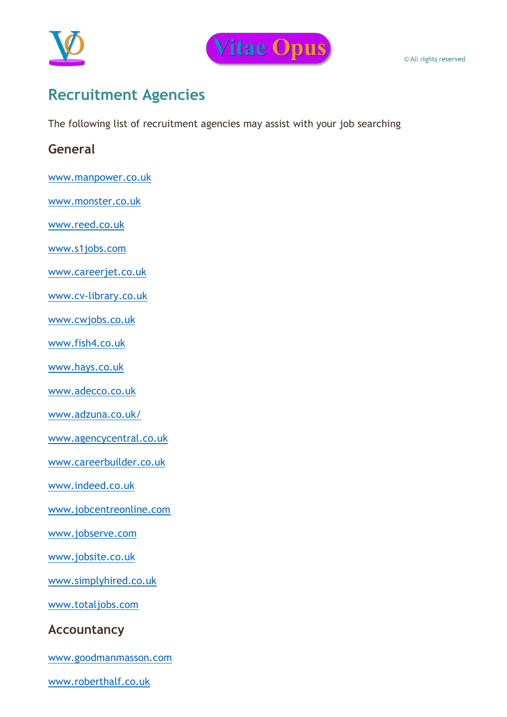



# **Recruitment Agencies**

The following list of recruitment agencies may assist with your job searching

# **General**

[www.manpower.co.uk](http://www.manpower.co.uk/)

[www.monster.co.uk](http://www.monster.co.uk/)

[www.reed.co.uk](http://www.reed.co.uk/)

[www.s1jobs.com](http://www.s1jobs.com/)

[www.careerjet.co.uk](http://www.careerjet.co.uk/)

[www.cv-library.co.uk](http://www.cv-library.co.uk/)

[www.cwjobs.co.uk](http://www.cwjobs.co.uk/)

[www.fish4.co.uk](http://www.fish4.co.uk/)

[www.hays.co.uk](http://www.hays.co.uk/)

[www.adecco.co.uk](http://www.adecco.co.uk/)

[www.adzuna.co.uk/](http://www.adzuna.co.uk/)

[www.agencycentral.co.uk](http://www.agencycentral.co.uk/)

[www.careerbuilder.co.uk](http://www.careerbuilder.co.uk/)

[www.indeed.co.uk](http://www.indeed.co.uk/)

[www.jobcentreonline.com](http://www.jobcentreonline.com/)

[www.jobserve.com](http://www.jobserve.com/)

[www.jobsite.co.uk](http://www.jobsite.co.uk/)

[www.simplyhired.co.uk](http://www.simplyhired.co.uk/)

[www.totaljobs.com](http://www.totaljobs.com/)

### **Accountancy**

[www.goodmanmasson.com](http://www.goodmanmasson.com/)

[www.roberthalf.co.uk](http://www.roberthalf.co.uk/)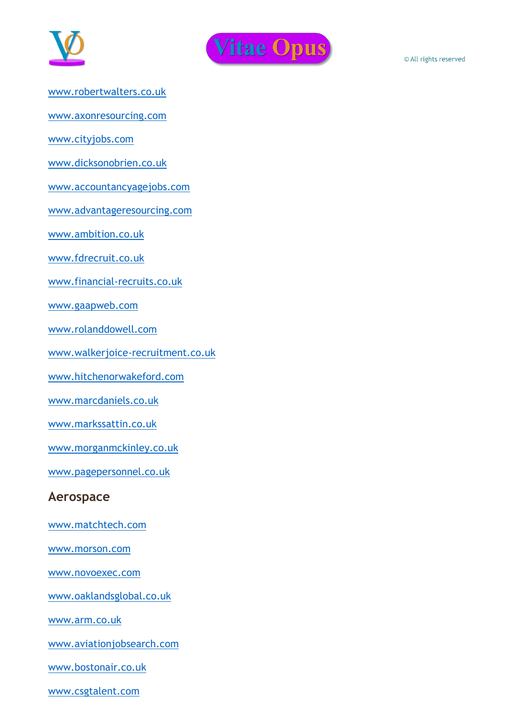



[www.robertwalters.co.uk](http://www.robertwalters.co.uk/)

[www.axonresourcing.com](http://www.axonresourcing.com/)

[www.cityjobs.com](http://www.cityjobs.com/)

[www.dicksonobrien.co.uk](http://www.dicksonobrien.co.uk/)

[www.accountancyagejobs.com](http://www.accountancyagejobs.com/)

[www.advantageresourcing.com](http://www.advantageresourcing.com/)

[www.ambition.co.uk](http://www.ambition.co.uk/)

[www.fdrecruit.co.uk](http://www.fdrecruit.co.uk/)

[www.financial-recruits.co.uk](http://www.financial-recruits.co.uk/)

[www.gaapweb.com](http://www.gaapweb.com/)

[www.rolanddowell.com](http://www.rolanddowell.com/)

[www.walkerjoice-recruitment.co.uk](http://www.walkerjoice-recruitment.co.uk/)

[www.hitchenorwakeford.com](http://www.hitchenorwakeford.com/)

[www.marcdaniels.co.uk](http://www.marcdaniels.co.uk/)

[www.markssattin.co.uk](http://www.markssattin.co.uk/)

[www.morganmckinley.co.uk](http://www.morganmckinley.co.uk/)

[www.pagepersonnel.co.uk](http://www.pagepersonnel.co.uk/)

#### **Aerospace**

[www.matchtech.com](http://www.matchtech.com/)

[www.morson.com](http://www.morson.com/)

[www.novoexec.com](http://www.novoexec.com/)

[www.oaklandsglobal.co.uk](http://www.oaklandsglobal.co.uk/)

[www.arm.co.uk](http://www.arm.co.uk/)

[www.aviationjobsearch.com](http://www.aviationjobsearch.com/)

[www.bostonair.co.uk](http://www.bostonair.co.uk/)

[www.csgtalent.com](http://www.csgtalent.com/)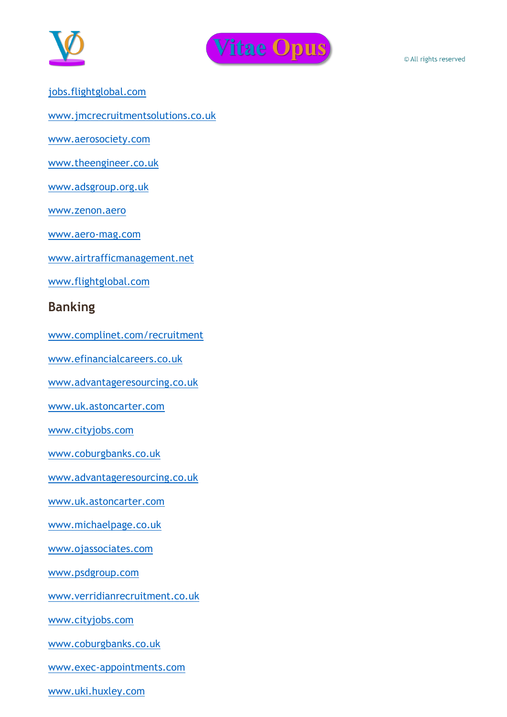



[jobs.flightglobal.com](http://jobs.flightglobal.com/)

[www.jmcrecruitmentsolutions.co.uk](http://www.jmcrecruitmentsolutions.co.uk/)

[www.aerosociety.com](http://www.aerosociety.com/)

[www.theengineer.co.uk](http://www.theengineer.co.uk/)

[www.adsgroup.org.uk](http://www.adsgroup.org.uk/)

[www.zenon.aero](http://www.zenon.aero/)

[www.aero-mag.com](http://www.aero-mag.com/)

[www.airtrafficmanagement.net](http://www.airtrafficmanagement.net/)

[www.flightglobal.com](http://www.flightglobal.com/)

#### **Banking**

[www.complinet.com/recruitment](http://www.complinet.com/recruitment)

[www.efinancialcareers.co.uk](http://www.efinancialcareers.co.uk/)

[www.advantageresourcing.co.uk](http://www.advantageresourcing.co.uk/)

[www.uk.astoncarter.com](http://www.uk.astoncarter.com/)

[www.cityjobs.com](http://www.cityjobs.com/)

[www.coburgbanks.co.uk](http://www.coburgbanks.co.uk/)

[www.advantageresourcing.co.uk](http://www.advantageresourcing.co.uk/)

[www.uk.astoncarter.com](http://www.uk.astoncarter.com/)

[www.michaelpage.co.uk](http://www.michaelpage.co.uk/)

[www.ojassociates.com](http://www.ojassociates.com/)

[www.psdgroup.com](http://www.psdgroup.com/)

[www.verridianrecruitment.co.uk](http://www.verridianrecruitment.co.uk/)

[www.cityjobs.com](http://www.cityjobs.com/)

[www.coburgbanks.co.uk](http://www.coburgbanks.co.uk/)

[www.exec-appointments.com](http://www.exec-appointments.com/)

[www.uki.huxley.com](http://www.uki.huxley.com/)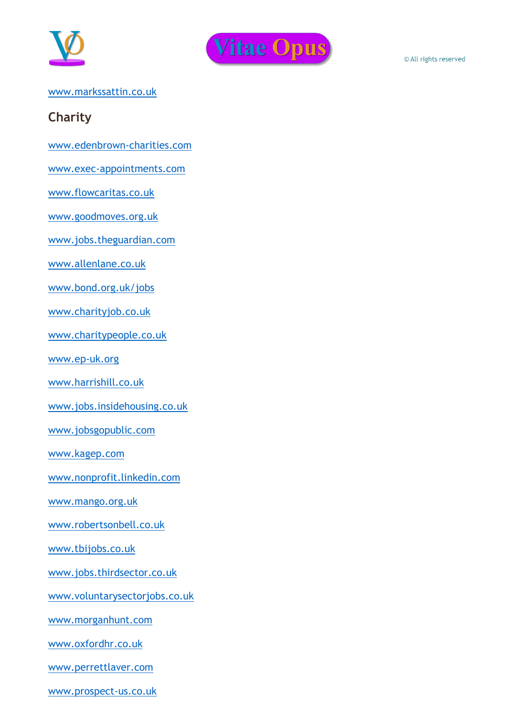



#### [www.markssattin.co.uk](http://www.markssattin.co.uk/)

# **Charity**

[www.edenbrown-charities.com](http://www.edenbrown-charities.com/)

[www.exec-appointments.com](http://www.exec-appointments.com/)

[www.flowcaritas.co.uk](http://www.flowcaritas.co.uk/)

[www.goodmoves.org.uk](http://www.goodmoves.org.uk/)

[www.jobs.theguardian.com](http://www.jobs.theguardian.com/)

[www.allenlane.co.uk](http://www.allenlane.co.uk/)

[www.bond.org.uk/jobs](http://www.bond.org.uk/jobs)

[www.charityjob.co.uk](http://www.charityjob.co.uk/)

[www.charitypeople.co.uk](http://www.charitypeople.co.uk/)

[www.ep-uk.org](http://www.ep-uk.org/)

[www.harrishill.co.uk](http://www.harrishill.co.uk/)

[www.jobs.insidehousing.co.uk](http://www.jobs.insidehousing.co.uk/)

[www.jobsgopublic.com](http://www.jobsgopublic.com/)

[www.kagep.com](http://www.kagep.com/)

[www.nonprofit.linkedin.com](http://www.nonprofit.linkedin.com/)

[www.mango.org.uk](http://www.mango.org.uk/)

[www.robertsonbell.co.uk](http://www.robertsonbell.co.uk/)

[www.tbijobs.co.uk](http://www.tbijobs.co.uk/)

[www.jobs.thirdsector.co.uk](http://www.jobs.thirdsector.co.uk/)

[www.voluntarysectorjobs.co.uk](http://www.voluntarysectorjobs.co.uk/)

[www.morganhunt.com](http://www.morganhunt.com/)

[www.oxfordhr.co.uk](http://www.oxfordhr.co.uk/)

[www.perrettlaver.com](http://www.perrettlaver.com/)

[www.prospect-us.co.uk](http://www.prospect-us.co.uk/)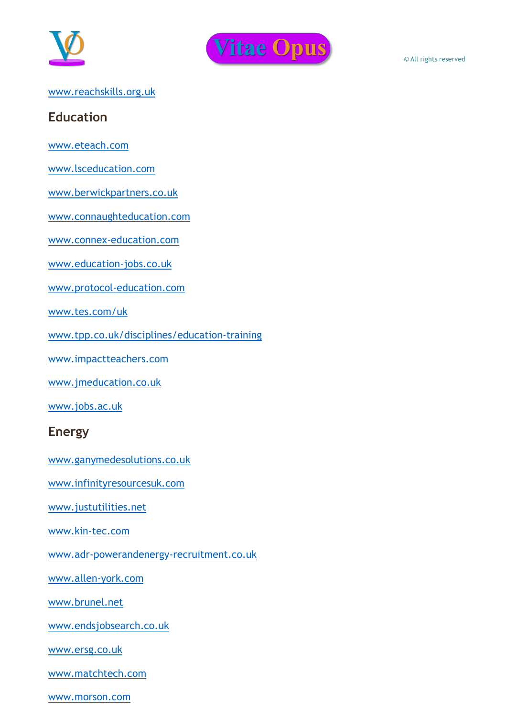



#### [www.reachskills.org.uk](http://www.reachskills.org.uk/)

### **Education**

[www.eteach.com](http://www.eteach.com/)

[www.lsceducation.com](http://www.lsceducation.com/)

[www.berwickpartners.co.uk](http://www.berwickpartners.co.uk/)

[www.connaughteducation.com](http://www.connaughteducation.com/)

[www.connex-education.com](http://www.connex-education.com/)

[www.education-jobs.co.uk](http://www.education-jobs.co.uk/)

[www.protocol-education.com](http://www.protocol-education.com/)

[www.tes.com/uk](http://www.tes.com/uk)

[www.tpp.co.uk/disciplines/education-training](http://www.tpp.co.uk/disciplines/education-training)

[www.impactteachers.com](http://www.impactteachers.com/)

[www.jmeducation.co.uk](http://www.jmeducation.co.uk/)

[www.jobs.ac.uk](http://www.jobs.ac.uk/)

#### **Energy**

[www.ganymedesolutions.co.uk](http://www.ganymedesolutions.co.uk/)

[www.infinityresourcesuk.com](http://www.infinityresourcesuk.com/)

[www.justutilities.net](http://www.justutilities.net/)

[www.kin-tec.com](http://www.kin-tec.com/)

[www.adr-powerandenergy-recruitment.co.uk](http://www.adr-powerandenergy-recruitment.co.uk/)

[www.allen-york.com](http://www.allen-york.com/)

[www.brunel.net](http://www.brunel.net/)

[www.endsjobsearch.co.uk](http://www.endsjobsearch.co.uk/)

[www.ersg.co.uk](http://www.ersg.co.uk/)

[www.matchtech.com](http://www.matchtech.com/)

[www.morson.com](http://www.morson.com/)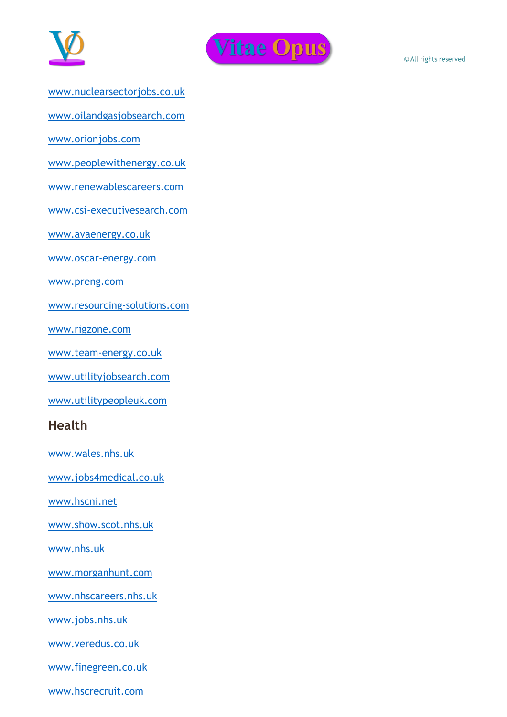



- [www.nuclearsectorjobs.co.uk](http://www.nuclearsectorjobs.co.uk/)
- [www.oilandgasjobsearch.com](http://www.oilandgasjobsearch.com/)

[www.orionjobs.com](http://www.orionjobs.com/)

[www.peoplewithenergy.co.uk](http://www.peoplewithenergy.co.uk/)

[www.renewablescareers.com](http://www.renewablescareers.com/)

[www.csi-executivesearch.com](http://www.csi-executivesearch.com/)

[www.avaenergy.co.uk](http://www.avaenergy.co.uk/)

[www.oscar-energy.com](http://www.oscar-energy.com/)

[www.preng.com](http://www.preng.com/)

[www.resourcing-solutions.com](http://www.resourcing-solutions.com/)

[www.rigzone.com](http://www.rigzone.com/)

[www.team-energy.co.uk](http://www.team-energy.co.uk/)

[www.utilityjobsearch.com](http://www.utilityjobsearch.com/)

[www.utilitypeopleuk.com](http://www.utilitypeopleuk.com/)

# **Health**

[www.wales.nhs.uk](http://www.wales.nhs.uk/)

[www.jobs4medical.co.uk](http://www.jobs4medical.co.uk/)

[www.hscni.net](http://www.hscni.net/)

[www.show.scot.nhs.uk](http://www.show.scot.nhs.uk/)

[www.nhs.uk](http://www.nhs.uk/)

[www.morganhunt.com](http://www.morganhunt.com/)

[www.nhscareers.nhs.uk](http://www.nhscareers.nhs.uk/)

[www.jobs.nhs.uk](http://www.jobs.nhs.uk/)

[www.veredus.co.uk](http://www.veredus.co.uk/)

[www.finegreen.co.uk](http://www.finegreen.co.uk/)

[www.hscrecruit.com](http://www.hscrecruit.com/)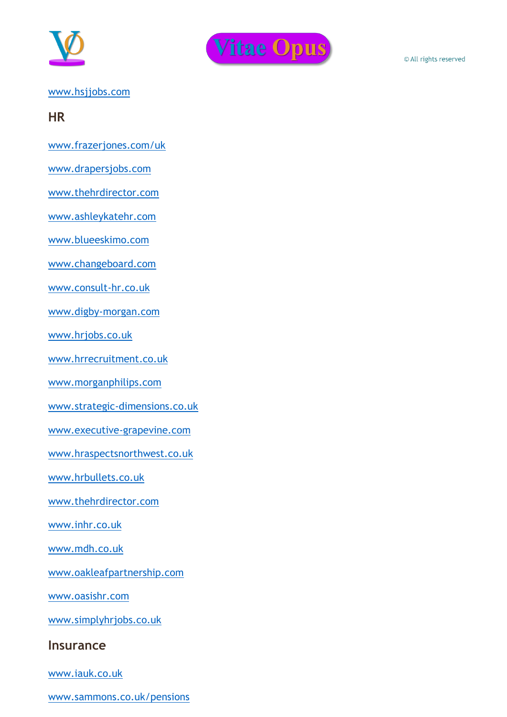



#### [www.hsjjobs.com](http://www.hsjjobs.com/)

#### **HR**

- [www.frazerjones.com/uk](http://www.frazerjones.com/uk)
- [www.drapersjobs.com](http://www.drapersjobs.com/)
- [www.thehrdirector.com](http://www.thehrdirector.com/)
- [www.ashleykatehr.com](http://www.ashleykatehr.com/)
- [www.blueeskimo.com](http://www.blueeskimo.com/)
- [www.changeboard.com](http://www.changeboard.com/)
- [www.consult-hr.co.uk](http://www.consult-hr.co.uk/)
- [www.digby-morgan.com](http://www.digby-morgan.com/)
- [www.hrjobs.co.uk](http://www.hrjobs.co.uk/)
- [www.hrrecruitment.co.uk](http://www.hrrecruitment.co.uk/)
- [www.morganphilips.com](http://www.morganphilips.com/)
- [www.strategic-dimensions.co.uk](http://www.strategic-dimensions.co.uk/)
- [www.executive-grapevine.com](http://www.executive-grapevine.com/)
- [www.hraspectsnorthwest.co.uk](http://www.hraspectsnorthwest.co.uk/)
- [www.hrbullets.co.uk](http://www.hrbullets.co.uk/)
- [www.thehrdirector.com](http://www.thehrdirector.com/)
- [www.inhr.co.uk](http://www.inhr.co.uk/)
- [www.mdh.co.uk](http://www.mdh.co.uk/)
- [www.oakleafpartnership.com](http://www.oakleafpartnership.com/)
- [www.oasishr.com](http://www.oasishr.com/)
- [www.simplyhrjobs.co.uk](http://www.simplyhrjobs.co.uk/)
- **Insurance**
- [www.iauk.co.uk](http://www.iauk.co.uk/)
- [www.sammons.co.uk/pensions](http://www.sammons.co.uk/pensions)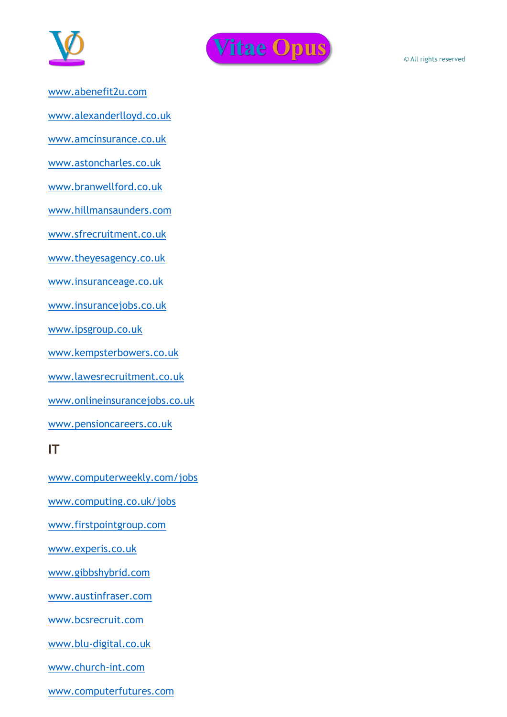



[www.abenefit2u.com](http://www.abenefit2u.com/)

[www.alexanderlloyd.co.uk](http://www.alexanderlloyd.co.uk/)

[www.amcinsurance.co.uk](http://www.amcinsurance.co.uk/)

[www.astoncharles.co.uk](http://www.astoncharles.co.uk/)

[www.branwellford.co.uk](http://www.branwellford.co.uk/)

[www.hillmansaunders.com](http://www.hillmansaunders.com/)

[www.sfrecruitment.co.uk](http://www.sfrecruitment.co.uk/)

[www.theyesagency.co.uk](http://www.theyesagency.co.uk/)

[www.insuranceage.co.uk](http://www.insuranceage.co.uk/)

[www.insurancejobs.co.uk](http://www.insurancejobs.co.uk/)

[www.ipsgroup.co.uk](http://www.ipsgroup.co.uk/)

[www.kempsterbowers.co.uk](http://www.kempsterbowers.co.uk/)

[www.lawesrecruitment.co.uk](http://www.lawesrecruitment.co.uk/)

[www.onlineinsurancejobs.co.uk](http://www.onlineinsurancejobs.co.uk/)

[www.pensioncareers.co.uk](http://www.pensioncareers.co.uk/)

#### **IT**

[www.computerweekly.com/jobs](http://www.computerweekly.com/jobs) [www.computing.co.uk/jobs](http://www.computing.co.uk/jobs)

[www.firstpointgroup.com](http://www.firstpointgroup.com/)

[www.experis.co.uk](http://www.experis.co.uk/)

[www.gibbshybrid.com](http://www.gibbshybrid.com/)

[www.austinfraser.com](http://www.austinfraser.com/)

[www.bcsrecruit.com](http://www.bcsrecruit.com/)

[www.blu-digital.co.uk](http://www.blu-digital.co.uk/)

[www.church-int.com](http://www.church-int.com/)

[www.computerfutures.com](http://www.computerfutures.com/)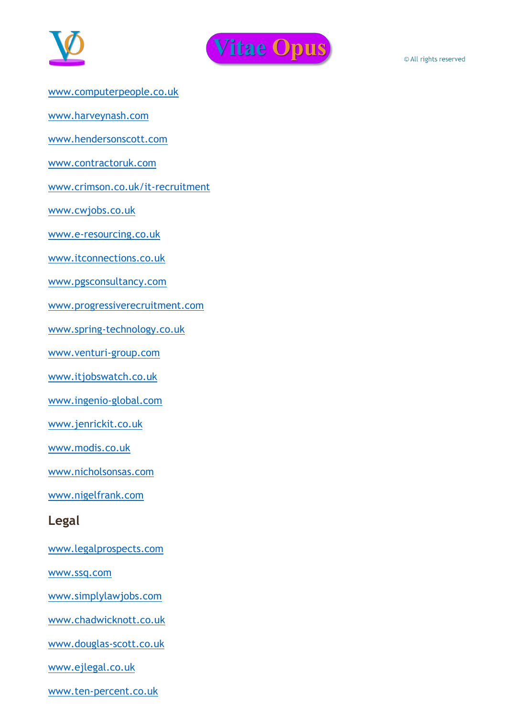



- [www.computerpeople.co.uk](http://www.computerpeople.co.uk/)
- [www.harveynash.com](http://www.harveynash.com/)
- [www.hendersonscott.com](http://www.hendersonscott.com/)
- [www.contractoruk.com](http://www.contractoruk.com/)
- [www.crimson.co.uk/it-recruitment](http://www.crimson.co.uk/it-recruitment/)
- [www.cwjobs.co.uk](http://www.cwjobs.co.uk/)
- [www.e-resourcing.co.uk](http://www.e-resourcing.co.uk/)
- [www.itconnections.co.uk](http://www.itconnections.co.uk/)
- [www.pgsconsultancy.com](http://www.pgsconsultancy.com/)
- [www.progressiverecruitment.com](http://www.progressiverecruitment.com/)
- [www.spring-technology.co.uk](http://www.spring-technology.co.uk/)
- [www.venturi-group.com](http://www.venturi-group.com/)
- [www.itjobswatch.co.uk](http://www.itjobswatch.co.uk/)
- [www.ingenio-global.com](http://www.ingenio-global.com/)
- [www.jenrickit.co.uk](http://www.jenrickit.co.uk/)
- [www.modis.co.uk](http://www.modis.co.uk/)
- [www.nicholsonsas.com](http://www.nicholsonsas.com/)
- [www.nigelfrank.com](http://www.nigelfrank.com/)
- **Legal**
- [www.legalprospects.com](http://www.legalprospects.com/)
- [www.ssq.com](http://www.ssq.com/)
- [www.simplylawjobs.com](http://www.simplylawjobs.com/)
- [www.chadwicknott.co.uk](http://www.chadwicknott.co.uk/)
- [www.douglas-scott.co.uk](http://www.douglas-scott.co.uk/)
- [www.ejlegal.co.uk](http://www.ejlegal.co.uk/)
- [www.ten-percent.co.uk](http://www.ten-percent.co.uk/)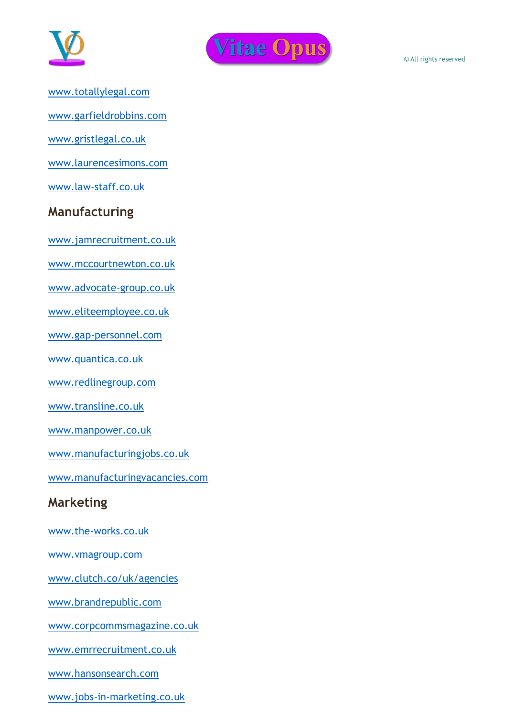



- [www.totallylegal.com](http://www.totallylegal.com/)
- [www.garfieldrobbins.com](http://www.garfieldrobbins.com/)
- [www.gristlegal.co.uk](http://www.gristlegal.co.uk/)
- [www.laurencesimons.com](http://www.laurencesimons.com/)
- [www.law-staff.co.uk](http://www.law-staff.co.uk/)

# **Manufacturing**

[www.jamrecruitment.co.uk](http://www.jamrecruitment.co.uk/)

- [www.mccourtnewton.co.uk](http://www.mccourtnewton.co.uk/)
- [www.advocate-group.co.uk](http://www.advocate-group.co.uk/)
- [www.eliteemployee.co.uk](http://www.eliteemployee.co.uk/)
- [www.gap-personnel.com](http://www.gap-personnel.com/)
- [www.quantica.co.uk](http://www.quantica.co.uk/)
- [www.redlinegroup.com](http://www.redlinegroup.com/)
- [www.transline.co.uk](http://www.transline.co.uk/)
- [www.manpower.co.uk](http://www.manpower.co.uk/)
- [www.manufacturingjobs.co.uk](http://www.manufacturingjobs.co.uk/)
- [www.manufacturingvacancies.com](http://www.manufacturingvacancies.com/)

# **Marketing**

- [www.the-works.co.uk](http://www.the-works.co.uk/)
- [www.vmagroup.com](http://www.vmagroup.com/)
- [www.clutch.co/uk/agencies](http://www.clutch.co/uk/agencies)
- [www.brandrepublic.com](http://www.brandrepublic.com/)
- [www.corpcommsmagazine.co.uk](http://www.corpcommsmagazine.co.uk/)
- [www.emrrecruitment.co.uk](http://www.emrrecruitment.co.uk/)
- [www.hansonsearch.com](http://www.hansonsearch.com/)
- [www.jobs-in-marketing.co.uk](http://www.jobs-in-marketing.co.uk/)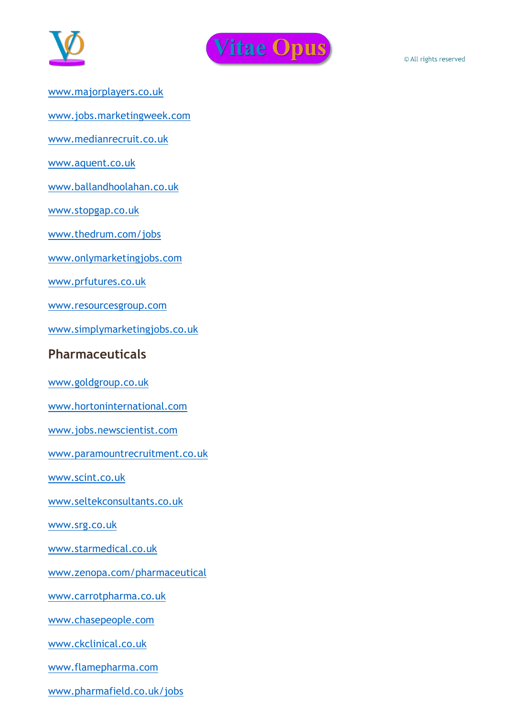



- [www.majorplayers.co.uk](http://www.majorplayers.co.uk/)
- [www.jobs.marketingweek.com](http://www.jobs.marketingweek.com/)
- [www.medianrecruit.co.uk](http://www.medianrecruit.co.uk/)
- [www.aquent.co.uk](http://www.aquent.co.uk/)
- [www.ballandhoolahan.co.uk](http://www.ballandhoolahan.co.uk/)
- [www.stopgap.co.uk](http://www.stopgap.co.uk/)
- [www.thedrum.com/jobs](http://www.thedrum.com/jobs/)
- [www.onlymarketingjobs.com](http://www.onlymarketingjobs.com/)
- [www.prfutures.co.uk](http://www.prfutures.co.uk/)
- [www.resourcesgroup.com](http://www.resourcesgroup.com/)
- [www.simplymarketingjobs.co.uk](http://www.simplymarketingjobs.co.uk/)

# **Pharmaceuticals**

- [www.goldgroup.co.uk](http://www.goldgroup.co.uk/)
- [www.hortoninternational.com](http://www.hortoninternational.com/)
- [www.jobs.newscientist.com](http://www.jobs.newscientist.com/)
- [www.paramountrecruitment.co.uk](http://www.paramountrecruitment.co.uk/)
- [www.scint.co.uk](http://www.scint.co.uk/)
- [www.seltekconsultants.co.uk](http://www.seltekconsultants.co.uk/)
- [www.srg.co.uk](http://www.srg.co.uk/)
- [www.starmedical.co.uk](http://www.starmedical.co.uk/)
- [www.zenopa.com/pharmaceutical](http://www.zenopa.com/pharmaceutical)
- [www.carrotpharma.co.uk](http://www.carrotpharma.co.uk/)
- [www.chasepeople.com](http://www.chasepeople.com/)
- [www.ckclinical.co.uk](http://www.ckclinical.co.uk/)
- [www.flamepharma.com](http://www.flamepharma.com/)
- [www.pharmafield.co.uk/jobs](http://www.pharmafield.co.uk/jobs)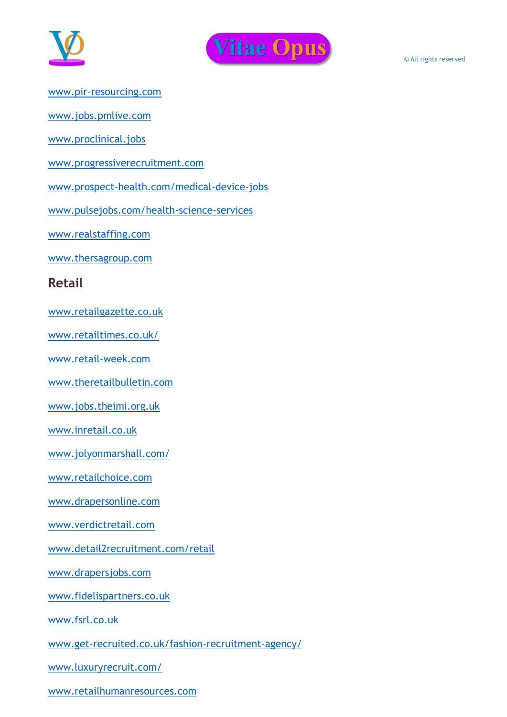



[www.pir-resourcing.com](http://www.pir-resourcing.com/)

[www.jobs.pmlive.com](http://www.jobs.pmlive.com/)

[www.proclinical.jobs](http://www.proclinical.jobs/)

[www.progressiverecruitment.com](http://www.progressiverecruitment.com/)

[www.prospect-health.com/medical-device-jobs](http://www.prospect-health.com/medical-device-jobs)

[www.pulsejobs.com/health-science-services](http://www.pulsejobs.com/health-science-services)

[www.realstaffing.com](http://www.realstaffing.com/)

[www.thersagroup.com](http://www.thersagroup.com/)

#### **Retail**

[www.retailgazette.co.uk](http://www.retailgazette.co.uk/)

[www.retailtimes.co.uk/](http://www.retailtimes.co.uk/)

[www.retail-week.com](http://www.retail-week.com/)

[www.theretailbulletin.com](http://www.theretailbulletin.com/)

[www.jobs.theimi.org.uk](http://www.jobs.theimi.org.uk/)

[www.inretail.co.uk](http://www.inretail.co.uk/)

[www.jolyonmarshall.com/](http://www.jolyonmarshall.com/)

[www.retailchoice.com](http://www.retailchoice.com/)

[www.drapersonline.com](http://www.drapersonline.com/)

[www.verdictretail.com](http://www.verdictretail.com/)

[www.detail2recruitment.com/retail](http://www.detail2recruitment.com/retail)

[www.drapersjobs.com](http://www.drapersjobs.com/)

[www.fidelispartners.co.uk](http://www.fidelispartners.co.uk/)

[www.fsrl.co.uk](http://www.fsrl.co.uk/)

[www.get-recruited.co.uk/fashion-recruitment-agency/](http://www.get-recruited.co.uk/fashion-recruitment-agency/)

[www.luxuryrecruit.com/](http://www.luxuryrecruit.com/)

[www.retailhumanresources.com](http://www.retailhumanresources.com/)